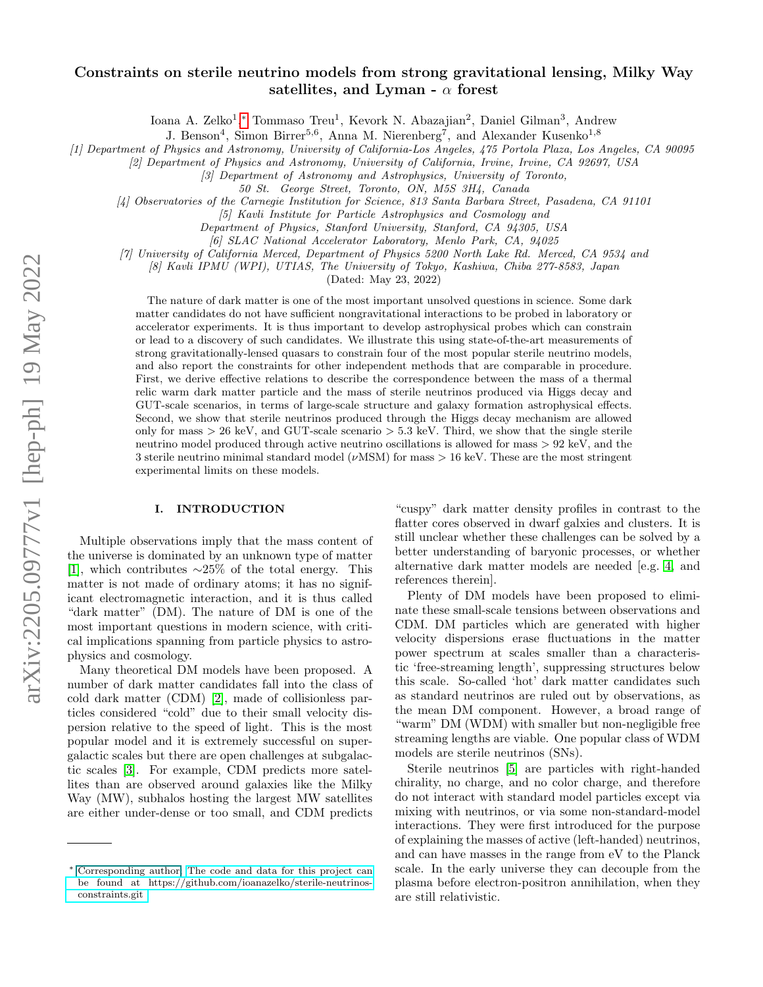# arXiv:2205.09777v1 [hep-ph] 19 May 2022 arXiv:2205.09777v1 [hep-ph] 19 May 2022

# Constraints on sterile neutrino models from strong gravitational lensing, Milky Way satellites, and Lyman -  $\alpha$  forest

Ioana A. Zelko<sup>1</sup>,\* Tommaso Treu<sup>1</sup>, Kevork N. Abazajian<sup>2</sup>, Daniel Gilman<sup>3</sup>, Andrew

J. Benson<sup>4</sup>, Simon Birrer<sup>5,6</sup>, Anna M. Nierenberg<sup>7</sup>, and Alexander Kusenko<sup>1,8</sup>

[1] Department of Physics and Astronomy, University of California-Los Angeles, 475 Portola Plaza, Los Angeles, CA 90095

[2] Department of Physics and Astronomy, University of California, Irvine, Irvine, CA 92697, USA

[3] Department of Astronomy and Astrophysics, University of Toronto,

[4] Observatories of the Carnegie Institution for Science, 813 Santa Barbara Street, Pasadena, CA 91101

[5] Kavli Institute for Particle Astrophysics and Cosmology and

Department of Physics, Stanford University, Stanford, CA 94305, USA

[6] SLAC National Accelerator Laboratory, Menlo Park, CA, 94025

[7] University of California Merced, Department of Physics 5200 North Lake Rd. Merced, CA 9534 and

[8] Kavli IPMU (WPI), UTIAS, The University of Tokyo, Kashiwa, Chiba 277-8583, Japan

(Dated: May 23, 2022)

The nature of dark matter is one of the most important unsolved questions in science. Some dark matter candidates do not have sufficient nongravitational interactions to be probed in laboratory or accelerator experiments. It is thus important to develop astrophysical probes which can constrain or lead to a discovery of such candidates. We illustrate this using state-of-the-art measurements of strong gravitationally-lensed quasars to constrain four of the most popular sterile neutrino models, and also report the constraints for other independent methods that are comparable in procedure. First, we derive effective relations to describe the correspondence between the mass of a thermal relic warm dark matter particle and the mass of sterile neutrinos produced via Higgs decay and GUT-scale scenarios, in terms of large-scale structure and galaxy formation astrophysical effects. Second, we show that sterile neutrinos produced through the Higgs decay mechanism are allowed only for mass  $> 26$  keV, and GUT-scale scenario  $> 5.3$  keV. Third, we show that the single sterile neutrino model produced through active neutrino oscillations is allowed for mass > 92 keV, and the 3 sterile neutrino minimal standard model ( $\nu$ MSM) for mass  $> 16 \text{ keV}$ . These are the most stringent experimental limits on these models.

### <span id="page-0-1"></span>I. INTRODUCTION

Multiple observations imply that the mass content of the universe is dominated by an unknown type of matter [\[1\]](#page-7-0), which contributes ∼25% of the total energy. This matter is not made of ordinary atoms; it has no significant electromagnetic interaction, and it is thus called "dark matter" (DM). The nature of DM is one of the most important questions in modern science, with critical implications spanning from particle physics to astrophysics and cosmology.

Many theoretical DM models have been proposed. A number of dark matter candidates fall into the class of cold dark matter (CDM) [\[2\]](#page-7-1), made of collisionless particles considered "cold" due to their small velocity dispersion relative to the speed of light. This is the most popular model and it is extremely successful on supergalactic scales but there are open challenges at subgalactic scales [\[3\]](#page-7-2). For example, CDM predicts more satellites than are observed around galaxies like the Milky Way (MW), subhalos hosting the largest MW satellites are either under-dense or too small, and CDM predicts

"cuspy" dark matter density profiles in contrast to the flatter cores observed in dwarf galxies and clusters. It is still unclear whether these challenges can be solved by a better understanding of baryonic processes, or whether alternative dark matter models are needed [e.g. [4,](#page-7-3) and references therein].

Plenty of DM models have been proposed to eliminate these small-scale tensions between observations and CDM. DM particles which are generated with higher velocity dispersions erase fluctuations in the matter power spectrum at scales smaller than a characteristic 'free-streaming length', suppressing structures below this scale. So-called 'hot' dark matter candidates such as standard neutrinos are ruled out by observations, as the mean DM component. However, a broad range of "warm" DM (WDM) with smaller but non-negligible free streaming lengths are viable. One popular class of WDM models are sterile neutrinos (SNs).

Sterile neutrinos [\[5\]](#page-7-4) are particles with right-handed chirality, no charge, and no color charge, and therefore do not interact with standard model particles except via mixing with neutrinos, or via some non-standard-model interactions. They were first introduced for the purpose of explaining the masses of active (left-handed) neutrinos, and can have masses in the range from eV to the Planck scale. In the early universe they can decouple from the plasma before electron-positron annihilation, when they are still relativistic.

<sup>50</sup> St. George Street, Toronto, ON, M5S 3H4, Canada

<span id="page-0-0"></span><sup>∗</sup> Corresponding author; [The code and data for this project can](The code and data for this project can be found at https://github.com/ioanazelko/sterile-neutrinos-constraints.git ) [be found at https://github.com/ioanazelko/sterile-neutrinos](The code and data for this project can be found at https://github.com/ioanazelko/sterile-neutrinos-constraints.git )[constraints.git](The code and data for this project can be found at https://github.com/ioanazelko/sterile-neutrinos-constraints.git )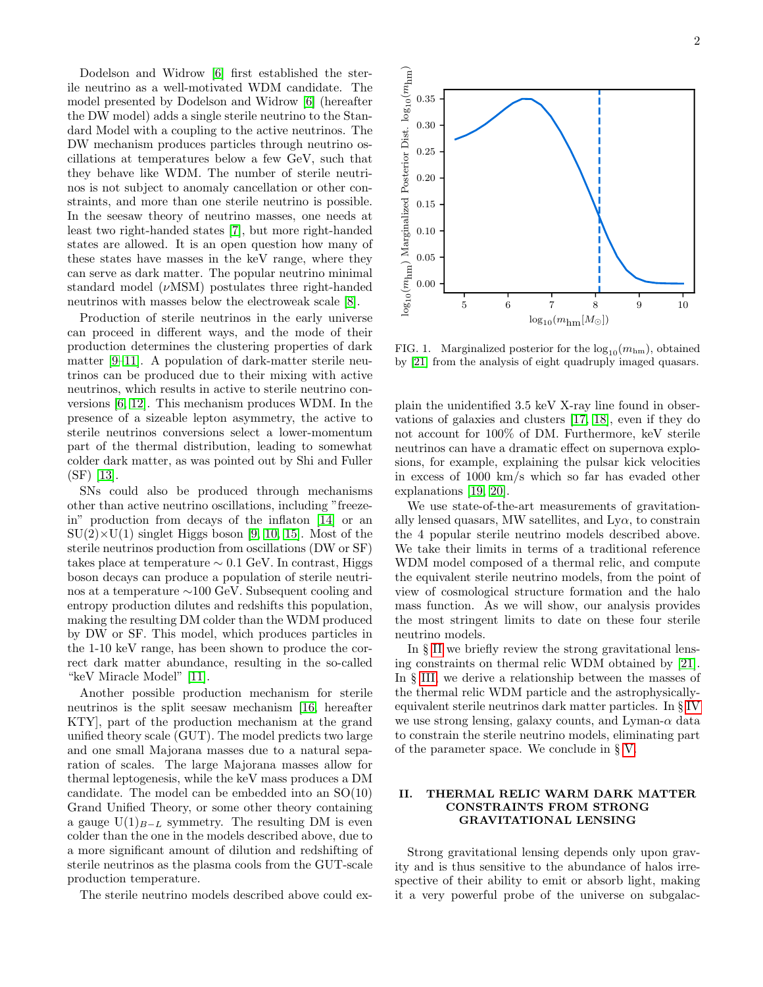Dodelson and Widrow [\[6\]](#page-7-5) first established the sterile neutrino as a well-motivated WDM candidate. The model presented by Dodelson and Widrow [\[6\]](#page-7-5) (hereafter the DW model) adds a single sterile neutrino to the Standard Model with a coupling to the active neutrinos. The DW mechanism produces particles through neutrino oscillations at temperatures below a few GeV, such that they behave like WDM. The number of sterile neutrinos is not subject to anomaly cancellation or other constraints, and more than one sterile neutrino is possible. In the seesaw theory of neutrino masses, one needs at least two right-handed states [\[7\]](#page-7-6), but more right-handed states are allowed. It is an open question how many of these states have masses in the keV range, where they can serve as dark matter. The popular neutrino minimal standard model  $(\nu$ MSM) postulates three right-handed neutrinos with masses below the electroweak scale [\[8\]](#page-7-7).

Production of sterile neutrinos in the early universe can proceed in different ways, and the mode of their production determines the clustering properties of dark matter [\[9–](#page-7-8)[11\]](#page-7-9). A population of dark-matter sterile neutrinos can be produced due to their mixing with active neutrinos, which results in active to sterile neutrino conversions [\[6,](#page-7-5) [12\]](#page-7-10). This mechanism produces WDM. In the presence of a sizeable lepton asymmetry, the active to sterile neutrinos conversions select a lower-momentum part of the thermal distribution, leading to somewhat colder dark matter, as was pointed out by Shi and Fuller (SF) [\[13\]](#page-7-11).

SNs could also be produced through mechanisms other than active neutrino oscillations, including "freezein" production from decays of the inflaton [\[14\]](#page-7-12) or an  $SU(2)\times U(1)$  singlet Higgs boson [\[9,](#page-7-8) [10,](#page-7-13) [15\]](#page-7-14). Most of the sterile neutrinos production from oscillations (DW or SF) takes place at temperature  $\sim 0.1$  GeV. In contrast, Higgs boson decays can produce a population of sterile neutrinos at a temperature ∼100 GeV. Subsequent cooling and entropy production dilutes and redshifts this population, making the resulting DM colder than the WDM produced by DW or SF. This model, which produces particles in the 1-10 keV range, has been shown to produce the correct dark matter abundance, resulting in the so-called "keV Miracle Model" [\[11\]](#page-7-9).

Another possible production mechanism for sterile neutrinos is the split seesaw mechanism [\[16,](#page-7-15) hereafter KTY], part of the production mechanism at the grand unified theory scale (GUT). The model predicts two large and one small Majorana masses due to a natural separation of scales. The large Majorana masses allow for thermal leptogenesis, while the keV mass produces a DM candidate. The model can be embedded into an SO(10) Grand Unified Theory, or some other theory containing a gauge  $U(1)_{B-L}$  symmetry. The resulting DM is even colder than the one in the models described above, due to a more significant amount of dilution and redshifting of sterile neutrinos as the plasma cools from the GUT-scale production temperature.

The sterile neutrino models described above could ex-



<span id="page-1-1"></span>FIG. 1. Marginalized posterior for the  $log_{10}(m_{\text{hm}})$ , obtained by [\[21\]](#page-7-16) from the analysis of eight quadruply imaged quasars.

plain the unidentified 3.5 keV X-ray line found in observations of galaxies and clusters [\[17,](#page-7-17) [18\]](#page-7-18), even if they do not account for 100% of DM. Furthermore, keV sterile neutrinos can have a dramatic effect on supernova explosions, for example, explaining the pulsar kick velocities in excess of 1000 km/s which so far has evaded other explanations [\[19,](#page-7-19) [20\]](#page-7-20).

We use state-of-the-art measurements of gravitationally lensed quasars, MW satellites, and  $Ly\alpha$ , to constrain the 4 popular sterile neutrino models described above. We take their limits in terms of a traditional reference WDM model composed of a thermal relic, and compute the equivalent sterile neutrino models, from the point of view of cosmological structure formation and the halo mass function. As we will show, our analysis provides the most stringent limits to date on these four sterile neutrino models.

In § [II](#page-1-0) we briefly review the strong gravitational lensing constraints on thermal relic WDM obtained by [\[21\]](#page-7-16). In § [III,](#page-2-0) we derive a relationship between the masses of the thermal relic WDM particle and the astrophysicallyequivalent sterile neutrinos dark matter particles. In § [IV](#page-5-0) we use strong lensing, galaxy counts, and Lyman- $\alpha$  data to constrain the sterile neutrino models, eliminating part of the parameter space. We conclude in § [V.](#page-5-1)

## <span id="page-1-0"></span>II. THERMAL RELIC WARM DARK MATTER CONSTRAINTS FROM STRONG GRAVITATIONAL LENSING

Strong gravitational lensing depends only upon gravity and is thus sensitive to the abundance of halos irrespective of their ability to emit or absorb light, making it a very powerful probe of the universe on subgalac-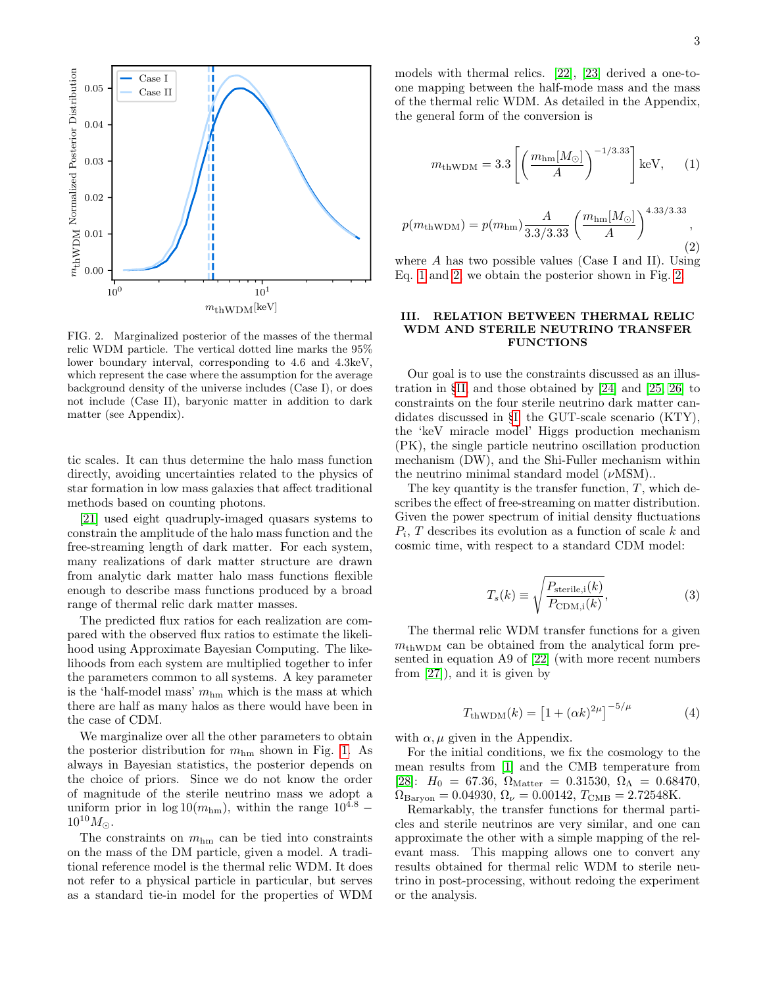

<span id="page-2-3"></span>FIG. 2. Marginalized posterior of the masses of the thermal relic WDM particle. The vertical dotted line marks the 95% lower boundary interval, corresponding to 4.6 and 4.3keV, which represent the case where the assumption for the average background density of the universe includes (Case I), or does not include (Case II), baryonic matter in addition to dark matter (see Appendix).

tic scales. It can thus determine the halo mass function directly, avoiding uncertainties related to the physics of star formation in low mass galaxies that affect traditional methods based on counting photons.

[\[21\]](#page-7-16) used eight quadruply-imaged quasars systems to constrain the amplitude of the halo mass function and the free-streaming length of dark matter. For each system, many realizations of dark matter structure are drawn from analytic dark matter halo mass functions flexible enough to describe mass functions produced by a broad range of thermal relic dark matter masses.

The predicted flux ratios for each realization are compared with the observed flux ratios to estimate the likelihood using Approximate Bayesian Computing. The likelihoods from each system are multiplied together to infer the parameters common to all systems. A key parameter is the 'half-model mass'  $m_{\rm hm}$  which is the mass at which there are half as many halos as there would have been in the case of CDM.

We marginalize over all the other parameters to obtain the posterior distribution for  $m_{\text{hm}}$  shown in Fig. [1.](#page-1-1) As always in Bayesian statistics, the posterior depends on the choice of priors. Since we do not know the order of magnitude of the sterile neutrino mass we adopt a uniform prior in  $\log 10(m_{\text{hm}})$ , within the range  $10^{4.8}$  –  $10^{10} M_{\odot}$ .

The constraints on  $m_{\text{hm}}$  can be tied into constraints on the mass of the DM particle, given a model. A traditional reference model is the thermal relic WDM. It does not refer to a physical particle in particular, but serves as a standard tie-in model for the properties of WDM

models with thermal relics. [\[22\]](#page-7-21), [\[23\]](#page-7-22) derived a one-toone mapping between the half-mode mass and the mass of the thermal relic WDM. As detailed in the Appendix, the general form of the conversion is

<span id="page-2-1"></span>
$$
m_{\text{thWDM}} = 3.3 \left[ \left( \frac{m_{\text{hm}}[M_{\odot}]}{A} \right)^{-1/3.33} \right] \text{keV}, \quad (1)
$$

<span id="page-2-2"></span>
$$
p(m_{\text{thWDM}}) = p(m_{\text{hm}}) \frac{A}{3.3/3.33} \left(\frac{m_{\text{hm}}[M_{\odot}]}{A}\right)^{4.33/3.33},\tag{2}
$$

where  $A$  has two possible values (Case I and II). Using Eq. [1](#page-2-1) and [2,](#page-2-2) we obtain the posterior shown in Fig. [2.](#page-2-3)

### <span id="page-2-0"></span>III. RELATION BETWEEN THERMAL RELIC WDM AND STERILE NEUTRINO TRANSFER FUNCTIONS

Our goal is to use the constraints discussed as an illustration in §[II,](#page-1-0) and those obtained by [\[24\]](#page-7-23) and [\[25,](#page-7-24) [26\]](#page-7-25) to constraints on the four sterile neutrino dark matter candidates discussed in §[I:](#page-0-1) the GUT-scale scenario (KTY), the 'keV miracle model' Higgs production mechanism (PK), the single particle neutrino oscillation production mechanism (DW), and the Shi-Fuller mechanism within the neutrino minimal standard model  $(\nu$ MSM)..

The key quantity is the transfer function,  $T$ , which describes the effect of free-streaming on matter distribution. Given the power spectrum of initial density fluctuations  $P_i$ , T describes its evolution as a function of scale  $k$  and cosmic time, with respect to a standard CDM model:

$$
T_s(k) \equiv \sqrt{\frac{P_{\text{sterile,i}}(k)}{P_{\text{CDM,i}}(k)}},\tag{3}
$$

The thermal relic WDM transfer functions for a given  $m_{\text{thWDM}}$  can be obtained from the analytical form presented in equation A9 of [\[22\]](#page-7-21) (with more recent numbers from [\[27\]](#page-7-26)), and it is given by

<span id="page-2-4"></span>
$$
T_{\text{thWDM}}(k) = [1 + (\alpha k)^{2\mu}]^{-5/\mu}
$$
 (4)

with  $\alpha$ ,  $\mu$  given in the Appendix.

For the initial conditions, we fix the cosmology to the mean results from [\[1\]](#page-7-0) and the CMB temperature from [\[28\]](#page-7-27):  $H_0 = 67.36, \Omega_{\text{Matter}} = 0.31530, \Omega_\Lambda = 0.68470,$  $\Omega_{\text{Baryon}} = 0.04930, \, \Omega_{\nu} = 0.00142, \, T_{\text{CMB}} = 2.72548 \text{K}.$ 

Remarkably, the transfer functions for thermal particles and sterile neutrinos are very similar, and one can approximate the other with a simple mapping of the relevant mass. This mapping allows one to convert any results obtained for thermal relic WDM to sterile neutrino in post-processing, without redoing the experiment or the analysis.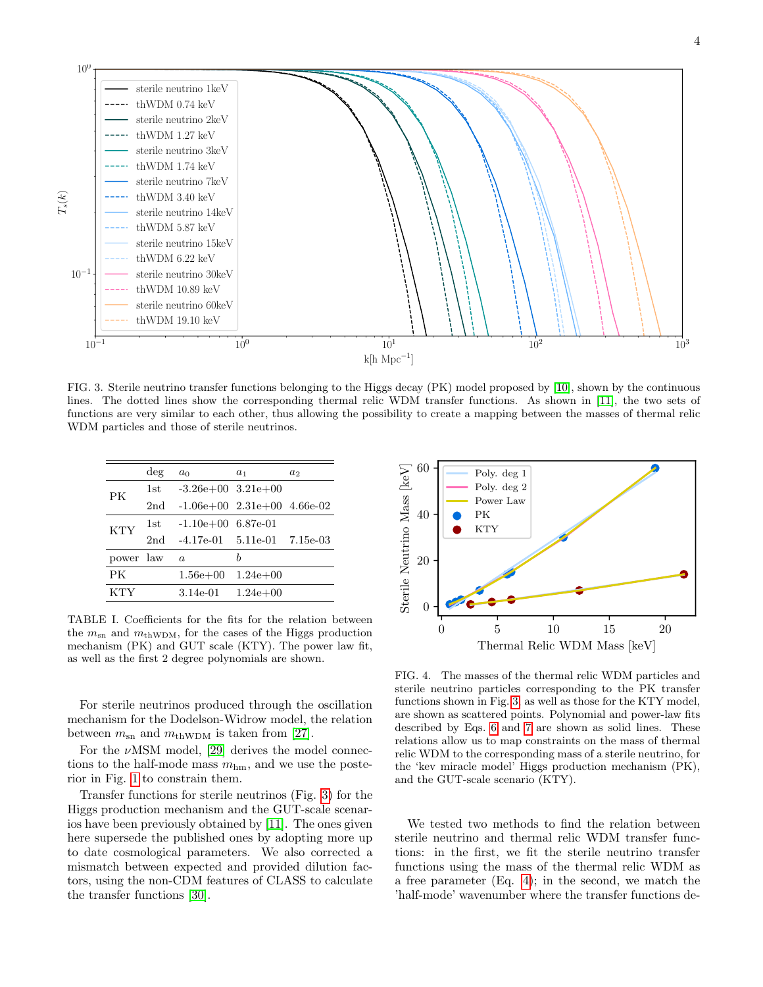

<span id="page-3-0"></span>FIG. 3. Sterile neutrino transfer functions belonging to the Higgs decay (PK) model proposed by [\[10\]](#page-7-13), shown by the continuous lines. The dotted lines show the corresponding thermal relic WDM transfer functions. As shown in [\[11\]](#page-7-9), the two sets of functions are very similar to each other, thus allowing the possibility to create a mapping between the masses of thermal relic WDM particles and those of sterile neutrinos.

|            | $\deg$          | a <sub>0</sub>                    | $a_1$      | $a_2$ |
|------------|-----------------|-----------------------------------|------------|-------|
| PК         | 1st.            | $-3.26e+00$ $3.21e+00$            |            |       |
|            | 2 <sub>nd</sub> | $-1.06e+00$ $2.31e+00$ $4.66e-02$ |            |       |
| <b>KTY</b> | 1st.            | $-1.10e+00$ 6.87e-01              |            |       |
|            | 2nd             | $-4.17e-01$ $5.11e-01$ $7.15e-03$ |            |       |
| power law  |                 | $\alpha$                          | h          |       |
| PK         |                 | $1.56e + 00$                      | $1.24e+00$ |       |
| KTY        |                 | 3.14e-01                          | $1.24e+00$ |       |

<span id="page-3-1"></span>TABLE I. Coefficients for the fits for the relation between the  $m_{\rm sn}$  and  $m_{\rm thWDM}$ , for the cases of the Higgs production mechanism (PK) and GUT scale (KTY). The power law fit, as well as the first 2 degree polynomials are shown.

For sterile neutrinos produced through the oscillation mechanism for the Dodelson-Widrow model, the relation between  $m_{\rm sn}$  and  $m_{\rm thWDM}$  is taken from [\[27\]](#page-7-26).

For the  $\nu$ MSM model, [\[29\]](#page-7-28) derives the model connections to the half-mode mass  $m_{\text{hm}}$ , and we use the posterior in Fig. [1](#page-1-1) to constrain them.

Transfer functions for sterile neutrinos (Fig. [3\)](#page-3-0) for the Higgs production mechanism and the GUT-scale scenarios have been previously obtained by [\[11\]](#page-7-9). The ones given here supersede the published ones by adopting more up to date cosmological parameters. We also corrected a mismatch between expected and provided dilution factors, using the non-CDM features of CLASS to calculate the transfer functions [\[30\]](#page-7-29).



<span id="page-3-2"></span>FIG. 4. The masses of the thermal relic WDM particles and sterile neutrino particles corresponding to the PK transfer functions shown in Fig. [3,](#page-3-0) as well as those for the KTY model, are shown as scattered points. Polynomial and power-law fits described by Eqs. [6](#page-4-0) and [7](#page-5-2) are shown as solid lines. These relations allow us to map constraints on the mass of thermal relic WDM to the corresponding mass of a sterile neutrino, for the 'kev miracle model' Higgs production mechanism (PK), and the GUT-scale scenario (KTY).

We tested two methods to find the relation between sterile neutrino and thermal relic WDM transfer functions: in the first, we fit the sterile neutrino transfer functions using the mass of the thermal relic WDM as a free parameter (Eq. [4\)](#page-2-4); in the second, we match the 'half-mode' wavenumber where the transfer functions de-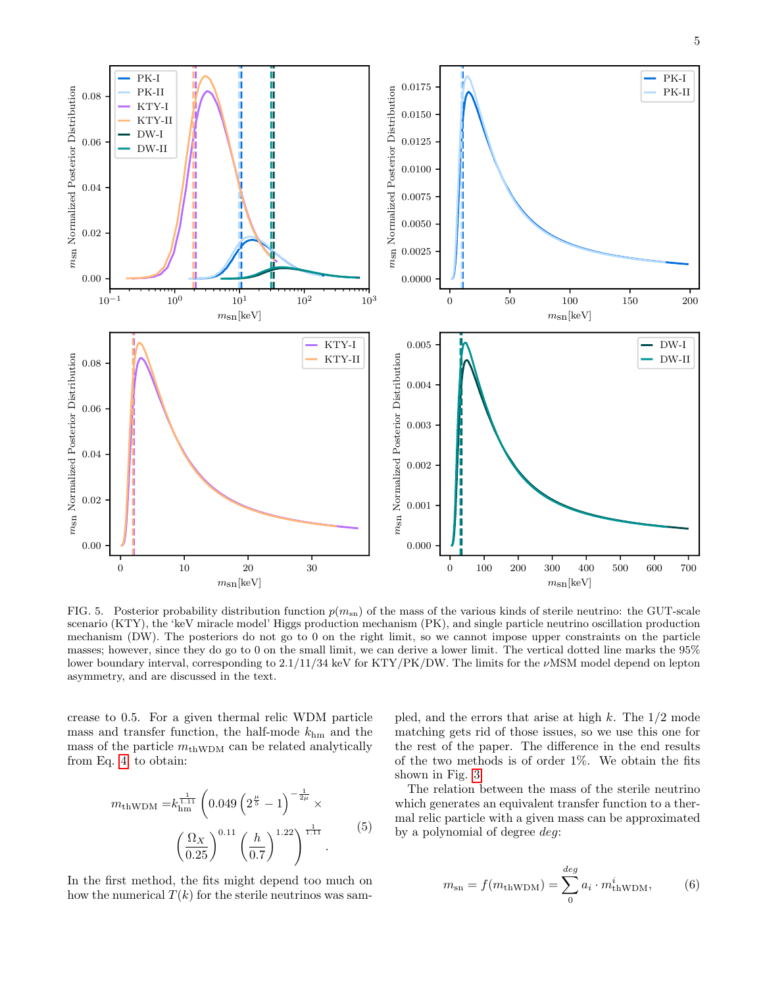5



FIG. 5. Posterior probability distribution function  $p(m_{\rm sn})$  of the mass of the various kinds of sterile neutrino: the GUT-scale scenario (KTY), the 'keV miracle model' Higgs production mechanism (PK), and single particle neutrino oscillation production mechanism (DW). The posteriors do not go to 0 on the right limit, so we cannot impose upper constraints on the particle masses; however, since they do go to 0 on the small limit, we can derive a lower limit. The vertical dotted line marks the 95% lower boundary interval, corresponding to 2.1/11/34 keV for KTY/PK/DW. The limits for the νMSM model depend on lepton asymmetry, and are discussed in the text.

crease to 0.5. For a given thermal relic WDM particle mass and transfer function, the half-mode  $k_{\text{hm}}$  and the mass of the particle  $m_{\text{thWDM}}$  can be related analytically from Eq. [4,](#page-2-4) to obtain:

$$
m_{\text{thWDM}} = k_{\text{hm}}^{\frac{1}{1.11}} \left( 0.049 \left( 2^{\frac{\mu}{5}} - 1 \right)^{-\frac{1}{2\mu}} \times \left( \frac{\Omega_X}{0.25} \right)^{0.11} \left( \frac{h}{0.7} \right)^{1.22} \right)^{\frac{1}{1.11}} . \tag{5}
$$

In the first method, the fits might depend too much on how the numerical  $T(k)$  for the sterile neutrinos was sampled, and the errors that arise at high  $k$ . The  $1/2$  mode matching gets rid of those issues, so we use this one for the rest of the paper. The difference in the end results of the two methods is of order 1%. We obtain the fits shown in Fig. [3.](#page-3-0)

The relation between the mass of the sterile neutrino which generates an equivalent transfer function to a thermal relic particle with a given mass can be approximated by a polynomial of degree deg:

<span id="page-4-0"></span>
$$
m_{\rm sn} = f(m_{\rm thWDM}) = \sum_{0}^{deg} a_i \cdot m_{\rm thWDM}^i,
$$
 (6)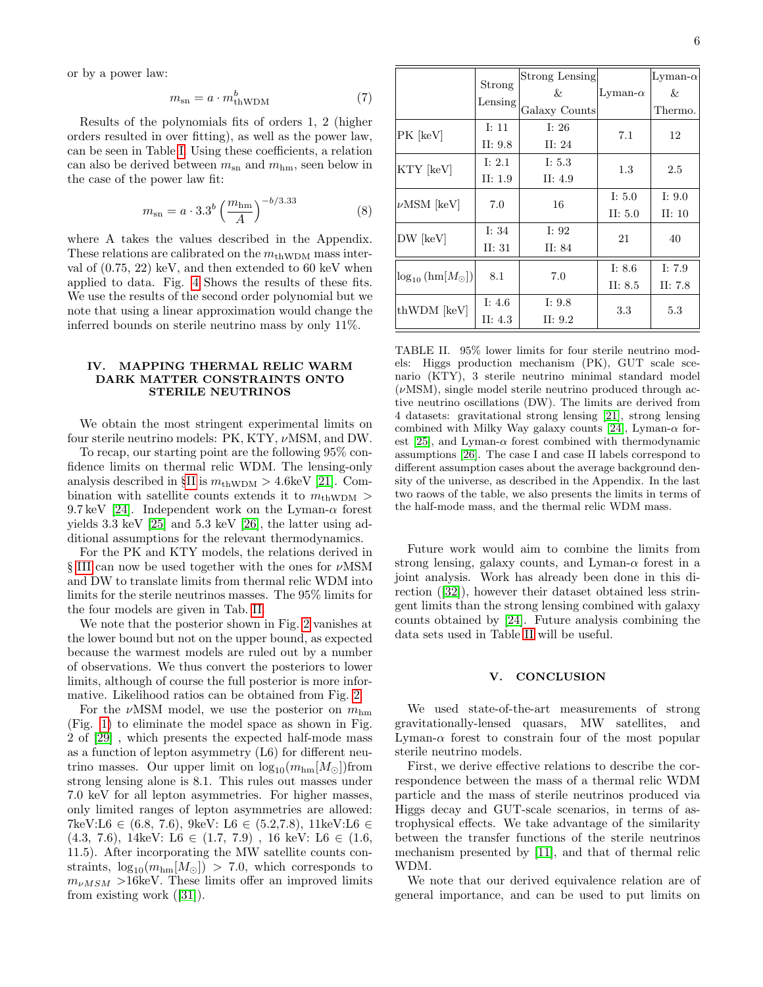or by a power law:

<span id="page-5-2"></span>
$$
m_{\rm sn} = a \cdot m_{\rm thWDM}^b \tag{7}
$$

Results of the polynomials fits of orders 1, 2 (higher orders resulted in over fitting), as well as the power law, can be seen in Table [I.](#page-3-1) Using these coefficients, a relation can also be derived between  $m_{\rm sn}$  and  $m_{\rm hm}$ , seen below in the case of the power law fit:

$$
m_{\rm sn} = a \cdot 3.3^b \left(\frac{m_{\rm hm}}{A}\right)^{-b/3.33} \tag{8}
$$

where A takes the values described in the Appendix. These relations are calibrated on the  $m_{\text{thWDM}}$  mass interval of (0.75, 22) keV, and then extended to 60 keV when applied to data. Fig. [4](#page-3-2) Shows the results of these fits. We use the results of the second order polynomial but we note that using a linear approximation would change the inferred bounds on sterile neutrino mass by only 11%.

## <span id="page-5-0"></span>IV. MAPPING THERMAL RELIC WARM DARK MATTER CONSTRAINTS ONTO STERILE NEUTRINOS

We obtain the most stringent experimental limits on four sterile neutrino models: PK, KTY, νMSM, and DW.

To recap, our starting point are the following 95% confidence limits on thermal relic WDM. The lensing-only analysis described in  $\S$ [II](#page-1-0) is  $m_{\text{thWDM}} > 4.6 \text{keV}$  [\[21\]](#page-7-16). Combination with satellite counts extends it to  $m_{\text{thWDM}} >$ 9.7 keV [\[24\]](#page-7-23). Independent work on the Lyman- $\alpha$  forest yields 3.3 keV [\[25\]](#page-7-24) and 5.3 keV [\[26\]](#page-7-25), the latter using additional assumptions for the relevant thermodynamics.

For the PK and KTY models, the relations derived in § [III](#page-2-0) can now be used together with the ones for νMSM and DW to translate limits from thermal relic WDM into limits for the sterile neutrinos masses. The 95% limits for the four models are given in Tab. [II.](#page-5-3)

We note that the posterior shown in Fig. [2](#page-2-3) vanishes at the lower bound but not on the upper bound, as expected because the warmest models are ruled out by a number of observations. We thus convert the posteriors to lower limits, although of course the full posterior is more informative. Likelihood ratios can be obtained from Fig. [2.](#page-2-3)

For the  $\nu$ MSM model, we use the posterior on  $m_{\text{hm}}$ (Fig. [1\)](#page-1-1) to eliminate the model space as shown in Fig. 2 of [\[29\]](#page-7-28) , which presents the expected half-mode mass as a function of lepton asymmetry (L6) for different neutrino masses. Our upper limit on  $\log_{10}(m_{\text{hm}}[M_{\odot}])$  from strong lensing alone is 8.1. This rules out masses under 7.0 keV for all lepton asymmetries. For higher masses, only limited ranges of lepton asymmetries are allowed: 7keV:L6 ∈ (6.8, 7.6), 9keV: L6 ∈ (5.2,7.8), 11keV:L6 ∈  $(4.3, 7.6), 14 \text{keV}$ : L6  $\in (1.7, 7.9), 16 \text{ keV}$ : L6  $\in (1.6,$ 11.5). After incorporating the MW satellite counts constraints,  $\log_{10}(m_{\text{hm}}[M_{\odot}]) > 7.0$ , which corresponds to  $m_{\nu MSM} > 16$ keV. These limits offer an improved limits from existing work ([\[31\]](#page-7-30)).

|                                                         | Strong<br>Lensing     | Strong Lensing<br>&<br>Galaxy Counts | Lyman- $\alpha$       | Lyman- $\alpha$<br>&<br>Thermo. |
|---------------------------------------------------------|-----------------------|--------------------------------------|-----------------------|---------------------------------|
| PK [keV]                                                | I: $11$<br>II: $9.8$  | I: $26$<br>II: $24$                  | 7.1                   | 12                              |
| KTY [keV]                                               | I: $2.1$<br>II: $1.9$ | I: $5.3$<br>II: $4.9$                | 1.3                   | 2.5                             |
| $\nu$ MSM [keV]                                         | 7.0                   | 16                                   | I: $5.0$<br>II: $5.0$ | I: $9.0$<br>II: $10$            |
| DW [keV]                                                | I: $34$<br>II: 31     | I: $92$<br>II: 84                    | 21                    | 40                              |
| $\left \log_{10}\left(\text{hm}[M_\odot]\right)\right $ | 8.1                   | 7.0                                  | I: $8.6$<br>II: $8.5$ | I: $7.9$<br>II: $7.8$           |
| thWDM [keV]                                             | I: 4.6<br>II: $4.3$   | I: $9.8$<br>II: $9.2$                | 3.3                   | 5.3                             |

<span id="page-5-3"></span>TABLE II. 95% lower limits for four sterile neutrino models: Higgs production mechanism (PK), GUT scale scenario (KTY), 3 sterile neutrino minimal standard model  $(\nu$ MSM), single model sterile neutrino produced through active neutrino oscillations (DW). The limits are derived from 4 datasets: gravitational strong lensing [\[21\]](#page-7-16), strong lensing combined with Milky Way galaxy counts [\[24\]](#page-7-23), Lyman- $\alpha$  for-est [\[25\]](#page-7-24), and Lyman- $\alpha$  forest combined with thermodynamic assumptions [\[26\]](#page-7-25). The case I and case II labels correspond to different assumption cases about the average background density of the universe, as described in the Appendix. In the last two raows of the table, we also presents the limits in terms of the half-mode mass, and the thermal relic WDM mass.

Future work would aim to combine the limits from strong lensing, galaxy counts, and Lyman- $\alpha$  forest in a joint analysis. Work has already been done in this direction ([\[32\]](#page-7-31)), however their dataset obtained less stringent limits than the strong lensing combined with galaxy counts obtained by [\[24\]](#page-7-23). Future analysis combining the data sets used in Table [II](#page-5-3) will be useful.

### <span id="page-5-1"></span>V. CONCLUSION

We used state-of-the-art measurements of strong gravitationally-lensed quasars, MW satellites, and Lyman- $\alpha$  forest to constrain four of the most popular sterile neutrino models.

First, we derive effective relations to describe the correspondence between the mass of a thermal relic WDM particle and the mass of sterile neutrinos produced via Higgs decay and GUT-scale scenarios, in terms of astrophysical effects. We take advantage of the similarity between the transfer functions of the sterile neutrinos mechanism presented by [\[11\]](#page-7-9), and that of thermal relic WDM.

We note that our derived equivalence relation are of general importance, and can be used to put limits on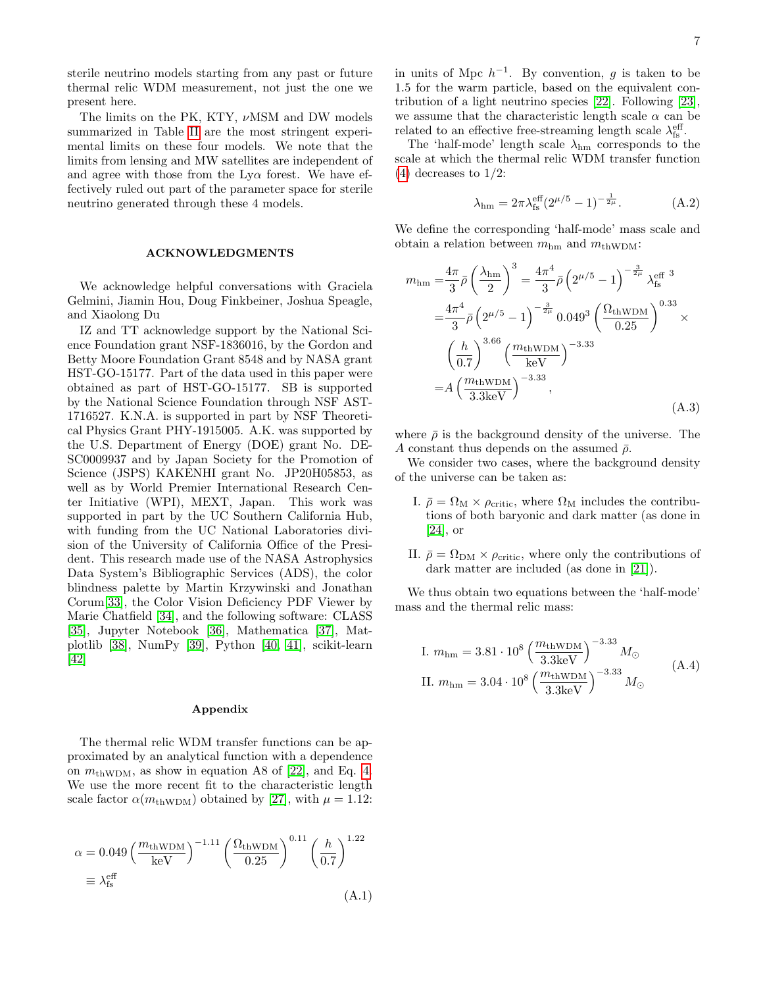7

sterile neutrino models starting from any past or future thermal relic WDM measurement, not just the one we present here.

The limits on the PK, KTY,  $\nu$ MSM and DW models summarized in Table [II](#page-5-3) are the most stringent experimental limits on these four models. We note that the limits from lensing and MW satellites are independent of and agree with those from the  $L_{V\alpha}$  forest. We have effectively ruled out part of the parameter space for sterile neutrino generated through these 4 models.

### ACKNOWLEDGMENTS

We acknowledge helpful conversations with Graciela Gelmini, Jiamin Hou, Doug Finkbeiner, Joshua Speagle, and Xiaolong Du

IZ and TT acknowledge support by the National Science Foundation grant NSF-1836016, by the Gordon and Betty Moore Foundation Grant 8548 and by NASA grant HST-GO-15177. Part of the data used in this paper were obtained as part of HST-GO-15177. SB is supported by the National Science Foundation through NSF AST-1716527. K.N.A. is supported in part by NSF Theoretical Physics Grant PHY-1915005. A.K. was supported by the U.S. Department of Energy (DOE) grant No. DE-SC0009937 and by Japan Society for the Promotion of Science (JSPS) KAKENHI grant No. JP20H05853, as well as by World Premier International Research Center Initiative (WPI), MEXT, Japan. This work was supported in part by the UC Southern California Hub, with funding from the UC National Laboratories division of the University of California Office of the President. This research made use of the NASA Astrophysics Data System's Bibliographic Services (ADS), the color blindness palette by Martin Krzywinski and Jonathan Corum[\[33\]](#page-7-32), the Color Vision Deficiency PDF Viewer by Marie Chatfield [\[34\]](#page-7-33), and the following software: CLASS [\[35\]](#page-8-0), Jupyter Notebook [\[36\]](#page-8-1), Mathematica [\[37\]](#page-8-2), Matplotlib [\[38\]](#page-8-3), NumPy [\[39\]](#page-8-4), Python [\[40,](#page-8-5) [41\]](#page-8-6), scikit-learn [\[42\]](#page-8-7)

### Appendix

The thermal relic WDM transfer functions can be approximated by an analytical function with a dependence on  $m_{\text{thWDM}}$ , as show in equation A8 of [\[22\]](#page-7-21), and Eq. [4.](#page-2-4) We use the more recent fit to the characteristic length scale factor  $\alpha(m_{\text{thWDM}})$  obtained by [\[27\]](#page-7-26), with  $\mu = 1.12$ :

$$
\alpha = 0.049 \left( \frac{m_{\text{thWDM}}}{\text{keV}} \right)^{-1.11} \left( \frac{\Omega_{\text{thWDM}}}{0.25} \right)^{0.11} \left( \frac{h}{0.7} \right)^{1.22}
$$

$$
\equiv \lambda_{\text{fs}}^{\text{eff}} \tag{A.1}
$$

in units of Mpc  $h^{-1}$ . By convention, g is taken to be 1.5 for the warm particle, based on the equivalent contribution of a light neutrino species [\[22\]](#page-7-21). Following [\[23\]](#page-7-22), we assume that the characteristic length scale  $\alpha$  can be related to an effective free-streaming length scale  $\lambda_{\mathrm{fs}}^{\mathrm{eff}}$  .

The 'half-mode' length scale  $\lambda_{\rm hm}$  corresponds to the scale at which the thermal relic WDM transfer function  $(4)$  decreases to  $1/2$ :

$$
\lambda_{\rm hm} = 2\pi \lambda_{\rm fs}^{\rm eff} (2^{\mu/5} - 1)^{-\frac{1}{2\mu}}.
$$
 (A.2)

We define the corresponding 'half-mode' mass scale and obtain a relation between  $m_{\text{hm}}$  and  $m_{\text{thWDM}}$ :

$$
m_{\rm hm} = \frac{4\pi}{3}\bar{\rho}\left(\frac{\lambda_{\rm hm}}{2}\right)^3 = \frac{4\pi^4}{3}\bar{\rho}\left(2^{\mu/5} - 1\right)^{-\frac{3}{2\mu}}\lambda_{\rm fs}^{\rm eff}^{3}
$$
  

$$
= \frac{4\pi^4}{3}\bar{\rho}\left(2^{\mu/5} - 1\right)^{-\frac{3}{2\mu}}0.049^3\left(\frac{\Omega_{\rm thWDM}}{0.25}\right)^{0.33}
$$
  

$$
\left(\frac{h}{0.7}\right)^{3.66}\left(\frac{m_{\rm thWDM}}{\rm keV}\right)^{-3.33}
$$
  

$$
= A\left(\frac{m_{\rm thWDM}}{3.3 \rm keV}\right)^{-3.33},
$$
 (A.3)

where  $\bar{\rho}$  is the background density of the universe. The A constant thus depends on the assumed  $\bar{\rho}$ .

We consider two cases, where the background density of the universe can be taken as:

- I.  $\bar{\rho} = \Omega_M \times \rho_{\text{critic}}$ , where  $\Omega_M$  includes the contributions of both baryonic and dark matter (as done in [\[24\]](#page-7-23), or
- II.  $\bar{\rho} = \Omega_{\text{DM}} \times \rho_{\text{critic}}$ , where only the contributions of dark matter are included (as done in [\[21\]](#page-7-16)).

We thus obtain two equations between the 'half-mode' mass and the thermal relic mass:

I. 
$$
m_{\text{hm}} = 3.81 \cdot 10^8 \left( \frac{m_{\text{thWDM}}}{3.3 \text{keV}} \right)^{-3.33} M_{\odot}
$$
  
II.  $m_{\text{hm}} = 3.04 \cdot 10^8 \left( \frac{m_{\text{thWDM}}}{3.3 \text{keV}} \right)^{-3.33} M_{\odot}$  (A.4)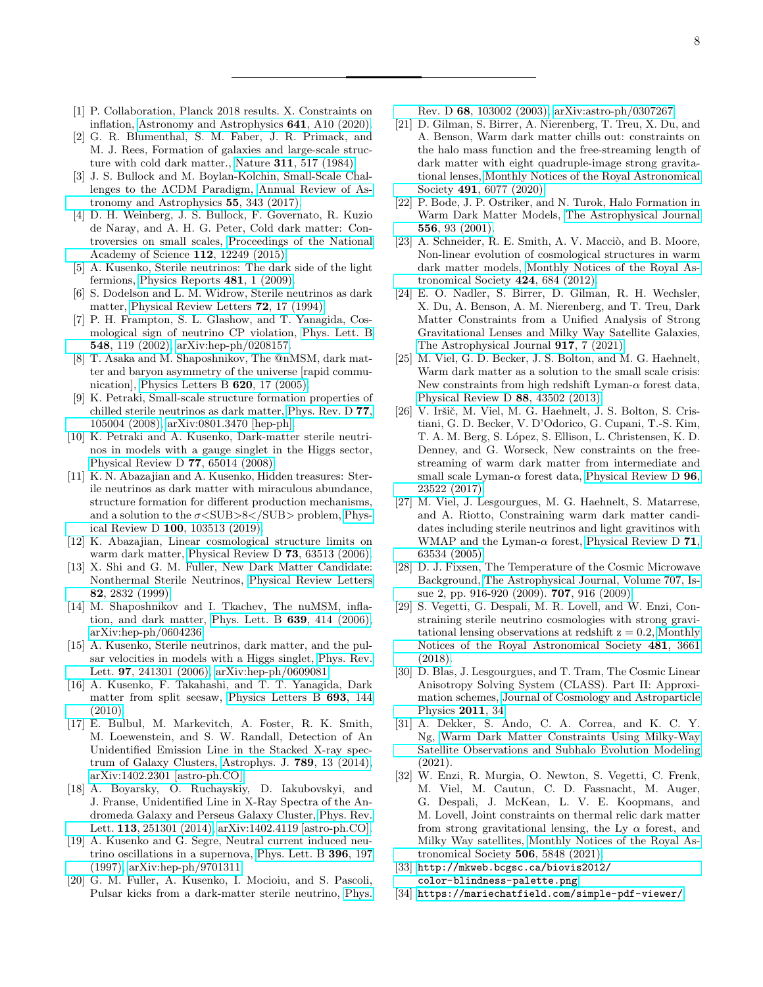- <span id="page-7-0"></span>[1] P. Collaboration, Planck 2018 results. X. Constraints on inflation, [Astronomy and Astrophysics](https://doi.org/10.1051/0004-6361/201833887) 641, A10 (2020).
- <span id="page-7-1"></span>[2] G. R. Blumenthal, S. M. Faber, J. R. Primack, and M. J. Rees, Formation of galaxies and large-scale structure with cold dark matter., Nature 311[, 517 \(1984\).](https://doi.org/10.1038/311517a0)
- <span id="page-7-2"></span>[3] J. S. Bullock and M. Boylan-Kolchin, Small-Scale Challenges to the ΛCDM Paradigm, [Annual Review of As](https://doi.org/10.1146/annurev-astro-091916-055313)[tronomy and Astrophysics](https://doi.org/10.1146/annurev-astro-091916-055313) 55, 343 (2017).
- <span id="page-7-3"></span>[4] D. H. Weinberg, J. S. Bullock, F. Governato, R. Kuzio de Naray, and A. H. G. Peter, Cold dark matter: Controversies on small scales, [Proceedings of the National](https://doi.org/10.1073/pnas.1308716112) [Academy of Science](https://doi.org/10.1073/pnas.1308716112) 112, 12249 (2015).
- <span id="page-7-4"></span>[5] A. Kusenko, Sterile neutrinos: The dark side of the light fermions, [Physics Reports](https://doi.org/10.1016/j.physrep.2009.07.004) 481, 1 (2009).
- <span id="page-7-5"></span>[6] S. Dodelson and L. M. Widrow, Sterile neutrinos as dark matter, [Physical Review Letters](https://doi.org/10.1103/PhysRevLett.72.17) 72, 17 (1994).
- <span id="page-7-6"></span>[7] P. H. Frampton, S. L. Glashow, and T. Yanagida, Cosmological sign of neutrino CP violation, [Phys. Lett. B](https://doi.org/10.1016/S0370-2693(02)02853-8) 548[, 119 \(2002\),](https://doi.org/10.1016/S0370-2693(02)02853-8) [arXiv:hep-ph/0208157.](https://arxiv.org/abs/hep-ph/0208157)
- <span id="page-7-7"></span>[8] T. Asaka and M. Shaposhnikov, The @nMSM, dark matter and baryon asymmetry of the universe [rapid communication], [Physics Letters B](https://doi.org/10.1016/j.physletb.2005.06.020) 620, 17 (2005).
- <span id="page-7-8"></span>[9] K. Petraki, Small-scale structure formation properties of chilled sterile neutrinos as dark matter, [Phys. Rev. D](https://doi.org/10.1103/PhysRevD.77.105004) 77, [105004 \(2008\),](https://doi.org/10.1103/PhysRevD.77.105004) [arXiv:0801.3470 \[hep-ph\].](https://arxiv.org/abs/0801.3470)
- <span id="page-7-13"></span>[10] K. Petraki and A. Kusenko, Dark-matter sterile neutrinos in models with a gauge singlet in the Higgs sector, [Physical Review D](https://doi.org/10.1103/PhysRevD.77.065014) 77, 65014 (2008).
- <span id="page-7-9"></span>[11] K. N. Abazajian and A. Kusenko, Hidden treasures: Sterile neutrinos as dark matter with miraculous abundance, structure formation for different production mechanisms, and a solution to the  $\sigma$ <SUB>8</SUB> problem, [Phys](https://doi.org/10.1103/PhysRevD.100.103513)ical Review D 100[, 103513 \(2019\).](https://doi.org/10.1103/PhysRevD.100.103513)
- <span id="page-7-10"></span>[12] K. Abazajian, Linear cosmological structure limits on warm dark matter, [Physical Review D](https://doi.org/10.1103/PhysRevD.73.063513) 73, 63513 (2006).
- <span id="page-7-11"></span>[13] X. Shi and G. M. Fuller, New Dark Matter Candidate: Nonthermal Sterile Neutrinos, [Physical Review Letters](https://doi.org/10.1103/PhysRevLett.82.2832) 82[, 2832 \(1999\).](https://doi.org/10.1103/PhysRevLett.82.2832)
- <span id="page-7-12"></span>[14] M. Shaposhnikov and I. Tkachev, The nuMSM, inflation, and dark matter, [Phys. Lett. B](https://doi.org/10.1016/j.physletb.2006.06.063) 639, 414 (2006), [arXiv:hep-ph/0604236.](https://arxiv.org/abs/hep-ph/0604236)
- <span id="page-7-14"></span>[15] A. Kusenko, Sterile neutrinos, dark matter, and the pulsar velocities in models with a Higgs singlet, [Phys. Rev.](https://doi.org/10.1103/PhysRevLett.97.241301) Lett. 97[, 241301 \(2006\),](https://doi.org/10.1103/PhysRevLett.97.241301) [arXiv:hep-ph/0609081.](https://arxiv.org/abs/hep-ph/0609081)
- <span id="page-7-15"></span>[16] A. Kusenko, F. Takahashi, and T. T. Yanagida, Dark matter from split seesaw, [Physics Letters B](https://doi.org/10.1016/j.physletb.2010.08.031) 693, 144 [\(2010\).](https://doi.org/10.1016/j.physletb.2010.08.031)
- <span id="page-7-17"></span>[17] E. Bulbul, M. Markevitch, A. Foster, R. K. Smith, M. Loewenstein, and S. W. Randall, Detection of An Unidentified Emission Line in the Stacked X-ray spectrum of Galaxy Clusters, [Astrophys. J.](https://doi.org/10.1088/0004-637X/789/1/13) 789, 13 (2014), [arXiv:1402.2301 \[astro-ph.CO\].](https://arxiv.org/abs/1402.2301)
- <span id="page-7-18"></span>[18] A. Boyarsky, O. Ruchayskiy, D. Iakubovskyi, and J. Franse, Unidentified Line in X-Ray Spectra of the Andromeda Galaxy and Perseus Galaxy Cluster, [Phys. Rev.](https://doi.org/10.1103/PhysRevLett.113.251301) Lett. 113[, 251301 \(2014\),](https://doi.org/10.1103/PhysRevLett.113.251301) [arXiv:1402.4119 \[astro-ph.CO\].](https://arxiv.org/abs/1402.4119)
- <span id="page-7-19"></span>[19] A. Kusenko and G. Segre, Neutral current induced neutrino oscillations in a supernova, [Phys. Lett. B](https://doi.org/10.1016/S0370-2693(97)00121-4) 396, 197 [\(1997\),](https://doi.org/10.1016/S0370-2693(97)00121-4) [arXiv:hep-ph/9701311.](https://arxiv.org/abs/hep-ph/9701311)
- <span id="page-7-20"></span>[20] G. M. Fuller, A. Kusenko, I. Mocioiu, and S. Pascoli, Pulsar kicks from a dark-matter sterile neutrino, [Phys.](https://doi.org/10.1103/PhysRevD.68.103002)

Rev. D 68[, 103002 \(2003\),](https://doi.org/10.1103/PhysRevD.68.103002) [arXiv:astro-ph/0307267.](https://arxiv.org/abs/astro-ph/0307267)

- <span id="page-7-16"></span>[21] D. Gilman, S. Birrer, A. Nierenberg, T. Treu, X. Du, and A. Benson, Warm dark matter chills out: constraints on the halo mass function and the free-streaming length of dark matter with eight quadruple-image strong gravitational lenses, [Monthly Notices of the Royal Astronomical](https://doi.org/10.1093/mnras/stz3480) Society 491[, 6077 \(2020\).](https://doi.org/10.1093/mnras/stz3480)
- <span id="page-7-21"></span>[22] P. Bode, J. P. Ostriker, and N. Turok, Halo Formation in Warm Dark Matter Models, [The Astrophysical Journal](https://doi.org/10.1086/321541) 556[, 93 \(2001\).](https://doi.org/10.1086/321541)
- <span id="page-7-22"></span>[23] A. Schneider, R. E. Smith, A. V. Macciò, and B. Moore, Non-linear evolution of cosmological structures in warm dark matter models, [Monthly Notices of the Royal As](https://doi.org/10.1111/j.1365-2966.2012.21252.x)[tronomical Society](https://doi.org/10.1111/j.1365-2966.2012.21252.x) 424, 684 (2012).
- <span id="page-7-23"></span>[24] E. O. Nadler, S. Birrer, D. Gilman, R. H. Wechsler, X. Du, A. Benson, A. M. Nierenberg, and T. Treu, Dark Matter Constraints from a Unified Analysis of Strong Gravitational Lenses and Milky Way Satellite Galaxies, [The Astrophysical Journal](https://doi.org/10.3847/1538-4357/abf9a3) 917, 7 (2021).
- <span id="page-7-24"></span>[25] M. Viel, G. D. Becker, J. S. Bolton, and M. G. Haehnelt, Warm dark matter as a solution to the small scale crisis: New constraints from high redshift Lyman- $\alpha$  forest data, [Physical Review D](https://doi.org/10.1103/PhysRevD.88.043502) 88, 43502 (2013).
- <span id="page-7-25"></span>[26] V. Iršič, M. Viel, M. G. Haehnelt, J. S. Bolton, S. Cristiani, G. D. Becker, V. D'Odorico, G. Cupani, T.-S. Kim, T. A. M. Berg, S. L´opez, S. Ellison, L. Christensen, K. D. Denney, and G. Worseck, New constraints on the freestreaming of warm dark matter from intermediate and small scale Lyman- $\alpha$  forest data, [Physical Review D](https://doi.org/10.1103/PhysRevD.96.023522) 96, [23522 \(2017\).](https://doi.org/10.1103/PhysRevD.96.023522)
- <span id="page-7-26"></span>[27] M. Viel, J. Lesgourgues, M. G. Haehnelt, S. Matarrese, and A. Riotto, Constraining warm dark matter candidates including sterile neutrinos and light gravitinos with WMAP and the Lyman- $\alpha$  forest, [Physical Review D](https://doi.org/10.1103/PhysRevD.71.063534) 71, [63534 \(2005\).](https://doi.org/10.1103/PhysRevD.71.063534)
- <span id="page-7-27"></span>[28] D. J. Fixsen, The Temperature of the Cosmic Microwave Background, [The Astrophysical Journal, Volume 707, Is](https://doi.org/10.1088/0004-637X/707/2/916)[sue 2, pp. 916-920 \(2009\).](https://doi.org/10.1088/0004-637X/707/2/916) **707**, 916 (2009).
- <span id="page-7-28"></span>[29] S. Vegetti, G. Despali, M. R. Lovell, and W. Enzi, Constraining sterile neutrino cosmologies with strong gravitational lensing observations at redshift  $z = 0.2$ , [Monthly](https://doi.org/10.1093/mnras/sty2393) [Notices of the Royal Astronomical Society](https://doi.org/10.1093/mnras/sty2393) 481, 3661 [\(2018\).](https://doi.org/10.1093/mnras/sty2393)
- <span id="page-7-29"></span>[30] D. Blas, J. Lesgourgues, and T. Tram, The Cosmic Linear Anisotropy Solving System (CLASS). Part II: Approximation schemes, [Journal of Cosmology and Astroparticle](https://doi.org/10.1088/1475-7516/2011/07/034) [Physics](https://doi.org/10.1088/1475-7516/2011/07/034) 2011, 34.
- <span id="page-7-30"></span>[31] A. Dekker, S. Ando, C. A. Correa, and K. C. Y. Ng, [Warm Dark Matter Constraints Using Milky-Way](https://ui.adsabs.harvard.edu/abs/2021arXiv211113137D) [Satellite Observations and Subhalo Evolution Modeling](https://ui.adsabs.harvard.edu/abs/2021arXiv211113137D) (2021).
- <span id="page-7-31"></span>[32] W. Enzi, R. Murgia, O. Newton, S. Vegetti, C. Frenk, M. Viel, M. Cautun, C. D. Fassnacht, M. Auger, G. Despali, J. McKean, L. V. E. Koopmans, and M. Lovell, Joint constraints on thermal relic dark matter from strong gravitational lensing, the Ly  $\alpha$  forest, and Milky Way satellites, [Monthly Notices of the Royal As](https://doi.org/10.1093/mnras/stab1960)[tronomical Society](https://doi.org/10.1093/mnras/stab1960) 506, 5848 (2021).
- <span id="page-7-32"></span>[33] [http://mkweb.bcgsc.ca/biovis2012/](http://mkweb.bcgsc.ca/biovis2012/color-blindness-palette.png) [color-blindness-palette.png](http://mkweb.bcgsc.ca/biovis2012/color-blindness-palette.png).
- <span id="page-7-33"></span>[34] <https://mariechatfield.com/simple-pdf-viewer/>.